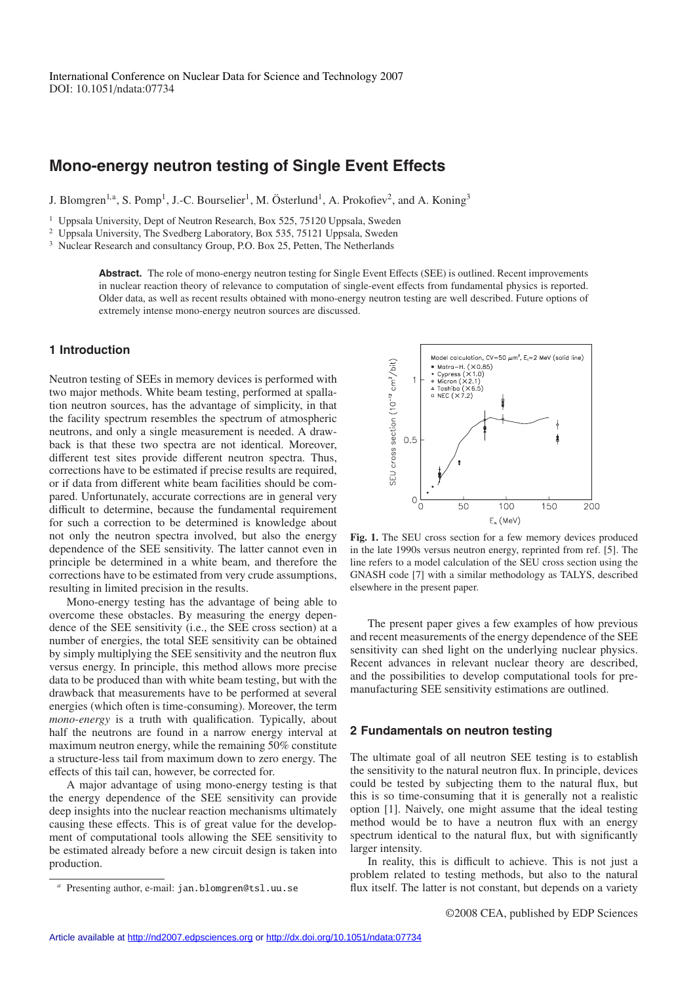# **Mono-energy neutron testing of Single Event Effects**

J. Blomgren<sup>1,a</sup>, S. Pomp<sup>1</sup>, J.-C. Bourselier<sup>1</sup>, M. Österlund<sup>1</sup>, A. Prokofiev<sup>2</sup>, and A. Koning<sup>3</sup>

<sup>1</sup> Uppsala University, Dept of Neutron Research, Box 525, 75120 Uppsala, Sweden

<sup>2</sup> Uppsala University, The Svedberg Laboratory, Box 535, 75121 Uppsala, Sweden

<sup>3</sup> Nuclear Research and consultancy Group, P.O. Box 25, Petten, The Netherlands

**Abstract.** The role of mono-energy neutron testing for Single Event Effects (SEE) is outlined. Recent improvements in nuclear reaction theory of relevance to computation of single-event effects from fundamental physics is reported. Older data, as well as recent results obtained with mono-energy neutron testing are well described. Future options of extremely intense mono-energy neutron sources are discussed.

## **1 Introduction**

Neutron testing of SEEs in memory devices is performed with two major methods. White beam testing, performed at spallation neutron sources, has the advantage of simplicity, in that the facility spectrum resembles the spectrum of atmospheric neutrons, and only a single measurement is needed. A drawback is that these two spectra are not identical. Moreover, different test sites provide different neutron spectra. Thus, corrections have to be estimated if precise results are required, or if data from different white beam facilities should be compared. Unfortunately, accurate corrections are in general very difficult to determine, because the fundamental requirement for such a correction to be determined is knowledge about not only the neutron spectra involved, but also the energy dependence of the SEE sensitivity. The latter cannot even in principle be determined in a white beam, and therefore the corrections have to be estimated from very crude assumptions, resulting in limited precision in the results.

Mono-energy testing has the advantage of being able to overcome these obstacles. By measuring the energy dependence of the SEE sensitivity (i.e., the SEE cross section) at a number of energies, the total SEE sensitivity can be obtained by simply multiplying the SEE sensitivity and the neutron flux versus energy. In principle, this method allows more precise data to be produced than with white beam testing, but with the drawback that measurements have to be performed at several energies (which often is time-consuming). Moreover, the term *mono-energy* is a truth with qualification. Typically, about half the neutrons are found in a narrow energy interval at maximum neutron energy, while the remaining 50% constitute a structure-less tail from maximum down to zero energy. The effects of this tail can, however, be corrected for.

A major advantage of using mono-energy testing is that the energy dependence of the SEE sensitivity can provide deep insights into the nuclear reaction mechanisms ultimately causing these effects. This is of great value for the development of computational tools allowing the SEE sensitivity to be estimated already before a new circuit design is taken into production.



**Fig. 1.** The SEU cross section for a few memory devices produced in the late 1990s versus neutron energy, reprinted from ref. [5]. The line refers to a model calculation of the SEU cross section using the GNASH code [7] with a similar methodology as TALYS, described elsewhere in the present paper.

The present paper gives a few examples of how previous and recent measurements of the energy dependence of the SEE sensitivity can shed light on the underlying nuclear physics. Recent advances in relevant nuclear theory are described, and the possibilities to develop computational tools for premanufacturing SEE sensitivity estimations are outlined.

#### **2 Fundamentals on neutron testing**

The ultimate goal of all neutron SEE testing is to establish the sensitivity to the natural neutron flux. In principle, devices could be tested by subjecting them to the natural flux, but this is so time-consuming that it is generally not a realistic option [1]. Naively, one might assume that the ideal testing method would be to have a neutron flux with an energy spectrum identical to the natural flux, but with significantly larger intensity.

In reality, this is difficult to achieve. This is not just a problem related to testing methods, but also to the natural flux itself. The latter is not constant, but depends on a variety

Presenting author, e-mail: jan.blomgren@tsl.uu.se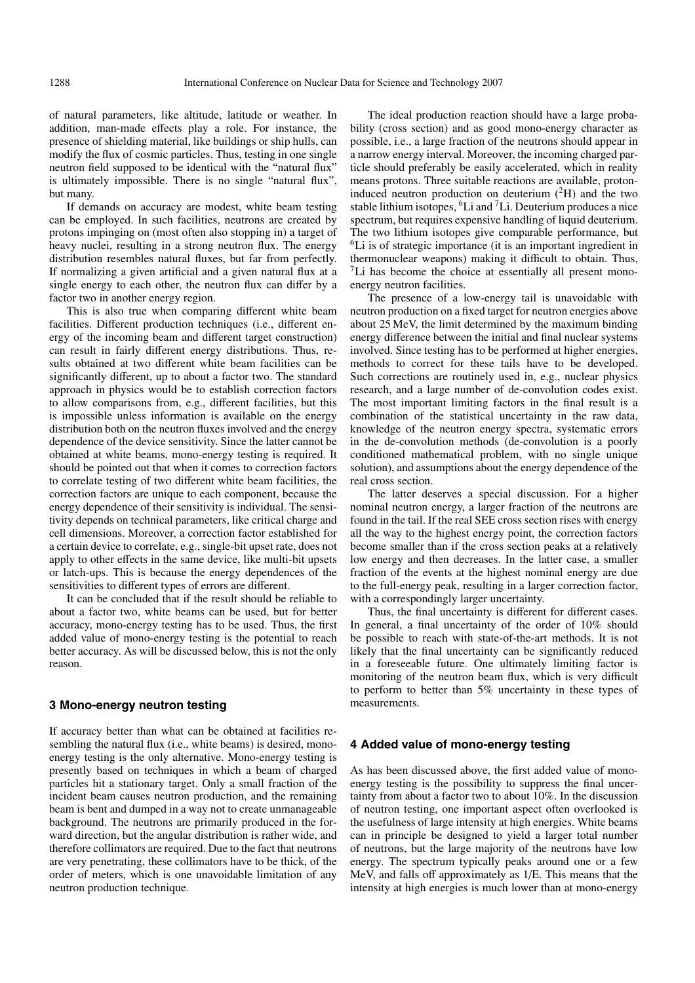of natural parameters, like altitude, latitude or weather. In addition, man-made effects play a role. For instance, the presence of shielding material, like buildings or ship hulls, can modify the flux of cosmic particles. Thus, testing in one single neutron field supposed to be identical with the "natural flux" is ultimately impossible. There is no single "natural flux", but many.

If demands on accuracy are modest, white beam testing can be employed. In such facilities, neutrons are created by protons impinging on (most often also stopping in) a target of heavy nuclei, resulting in a strong neutron flux. The energy distribution resembles natural fluxes, but far from perfectly. If normalizing a given artificial and a given natural flux at a single energy to each other, the neutron flux can differ by a factor two in another energy region.

This is also true when comparing different white beam facilities. Different production techniques (i.e., different energy of the incoming beam and different target construction) can result in fairly different energy distributions. Thus, results obtained at two different white beam facilities can be significantly different, up to about a factor two. The standard approach in physics would be to establish correction factors to allow comparisons from, e.g., different facilities, but this is impossible unless information is available on the energy distribution both on the neutron fluxes involved and the energy dependence of the device sensitivity. Since the latter cannot be obtained at white beams, mono-energy testing is required. It should be pointed out that when it comes to correction factors to correlate testing of two different white beam facilities, the correction factors are unique to each component, because the energy dependence of their sensitivity is individual. The sensitivity depends on technical parameters, like critical charge and cell dimensions. Moreover, a correction factor established for a certain device to correlate, e.g., single-bit upset rate, does not apply to other effects in the same device, like multi-bit upsets or latch-ups. This is because the energy dependences of the sensitivities to different types of errors are different.

It can be concluded that if the result should be reliable to about a factor two, white beams can be used, but for better accuracy, mono-energy testing has to be used. Thus, the first added value of mono-energy testing is the potential to reach better accuracy. As will be discussed below, this is not the only reason.

## **3 Mono-energy neutron testing**

If accuracy better than what can be obtained at facilities resembling the natural flux (i.e., white beams) is desired, monoenergy testing is the only alternative. Mono-energy testing is presently based on techniques in which a beam of charged particles hit a stationary target. Only a small fraction of the incident beam causes neutron production, and the remaining beam is bent and dumped in a way not to create unmanageable background. The neutrons are primarily produced in the forward direction, but the angular distribution is rather wide, and therefore collimators are required. Due to the fact that neutrons are very penetrating, these collimators have to be thick, of the order of meters, which is one unavoidable limitation of any neutron production technique.

The ideal production reaction should have a large probability (cross section) and as good mono-energy character as possible, i.e., a large fraction of the neutrons should appear in a narrow energy interval. Moreover, the incoming charged particle should preferably be easily accelerated, which in reality means protons. Three suitable reactions are available, protoninduced neutron production on deuterium  $({}^{2}H)$  and the two stable lithium isotopes,  ${}^{6}$ Li and  ${}^{7}$ Li. Deuterium produces a nice spectrum, but requires expensive handling of liquid deuterium. The two lithium isotopes give comparable performance, but 6Li is of strategic importance (it is an important ingredient in thermonuclear weapons) making it difficult to obtain. Thus, <sup>7</sup>Li has become the choice at essentially all present monoenergy neutron facilities.

The presence of a low-energy tail is unavoidable with neutron production on a fixed target for neutron energies above about 25 MeV, the limit determined by the maximum binding energy difference between the initial and final nuclear systems involved. Since testing has to be performed at higher energies, methods to correct for these tails have to be developed. Such corrections are routinely used in, e.g., nuclear physics research, and a large number of de-convolution codes exist. The most important limiting factors in the final result is a combination of the statistical uncertainty in the raw data, knowledge of the neutron energy spectra, systematic errors in the de-convolution methods (de-convolution is a poorly conditioned mathematical problem, with no single unique solution), and assumptions about the energy dependence of the real cross section.

The latter deserves a special discussion. For a higher nominal neutron energy, a larger fraction of the neutrons are found in the tail. If the real SEE cross section rises with energy all the way to the highest energy point, the correction factors become smaller than if the cross section peaks at a relatively low energy and then decreases. In the latter case, a smaller fraction of the events at the highest nominal energy are due to the full-energy peak, resulting in a larger correction factor, with a correspondingly larger uncertainty.

Thus, the final uncertainty is different for different cases. In general, a final uncertainty of the order of 10% should be possible to reach with state-of-the-art methods. It is not likely that the final uncertainty can be significantly reduced in a foreseeable future. One ultimately limiting factor is monitoring of the neutron beam flux, which is very difficult to perform to better than 5% uncertainty in these types of measurements.

#### **4 Added value of mono-energy testing**

As has been discussed above, the first added value of monoenergy testing is the possibility to suppress the final uncertainty from about a factor two to about 10%. In the discussion of neutron testing, one important aspect often overlooked is the usefulness of large intensity at high energies. White beams can in principle be designed to yield a larger total number of neutrons, but the large majority of the neutrons have low energy. The spectrum typically peaks around one or a few MeV, and falls off approximately as 1/E. This means that the intensity at high energies is much lower than at mono-energy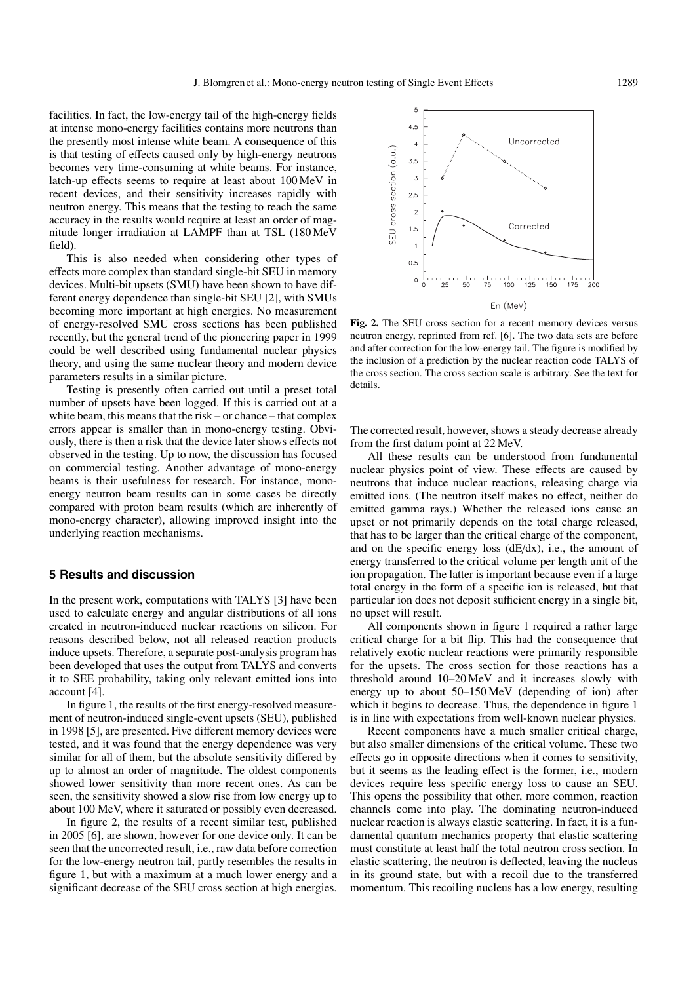5

facilities. In fact, the low-energy tail of the high-energy fields at intense mono-energy facilities contains more neutrons than the presently most intense white beam. A consequence of this is that testing of effects caused only by high-energy neutrons becomes very time-consuming at white beams. For instance, latch-up effects seems to require at least about 100 MeV in recent devices, and their sensitivity increases rapidly with neutron energy. This means that the testing to reach the same accuracy in the results would require at least an order of magnitude longer irradiation at LAMPF than at TSL (180 MeV field).

This is also needed when considering other types of effects more complex than standard single-bit SEU in memory devices. Multi-bit upsets (SMU) have been shown to have different energy dependence than single-bit SEU [2], with SMUs becoming more important at high energies. No measurement of energy-resolved SMU cross sections has been published recently, but the general trend of the pioneering paper in 1999 could be well described using fundamental nuclear physics theory, and using the same nuclear theory and modern device parameters results in a similar picture.

Testing is presently often carried out until a preset total number of upsets have been logged. If this is carried out at a white beam, this means that the risk – or chance – that complex errors appear is smaller than in mono-energy testing. Obviously, there is then a risk that the device later shows effects not observed in the testing. Up to now, the discussion has focused on commercial testing. Another advantage of mono-energy beams is their usefulness for research. For instance, monoenergy neutron beam results can in some cases be directly compared with proton beam results (which are inherently of mono-energy character), allowing improved insight into the underlying reaction mechanisms.

## **5 Results and discussion**

In the present work, computations with TALYS [3] have been used to calculate energy and angular distributions of all ions created in neutron-induced nuclear reactions on silicon. For reasons described below, not all released reaction products induce upsets. Therefore, a separate post-analysis program has been developed that uses the output from TALYS and converts it to SEE probability, taking only relevant emitted ions into account [4].

In figure 1, the results of the first energy-resolved measurement of neutron-induced single-event upsets (SEU), published in 1998 [5], are presented. Five different memory devices were tested, and it was found that the energy dependence was very similar for all of them, but the absolute sensitivity differed by up to almost an order of magnitude. The oldest components showed lower sensitivity than more recent ones. As can be seen, the sensitivity showed a slow rise from low energy up to about 100 MeV, where it saturated or possibly even decreased.

In figure 2, the results of a recent similar test, published in 2005 [6], are shown, however for one device only. It can be seen that the uncorrected result, i.e., raw data before correction for the low-energy neutron tail, partly resembles the results in figure 1, but with a maximum at a much lower energy and a significant decrease of the SEU cross section at high energies.

 $4.5$ Uncorrected SEU cross section (a.u.)  $3.5$  $\overline{3}$ 2.5  $\overline{2}$ Corrected  $1.5$  $0.5$  $\Omega$  $\frac{1}{100}$  $\frac{1}{125}$  $\frac{1}{150}$  $\frac{1}{175}$  $\frac{1}{200}$ En (MeV)

**Fig. 2.** The SEU cross section for a recent memory devices versus neutron energy, reprinted from ref. [6]. The two data sets are before and after correction for the low-energy tail. The figure is modified by the inclusion of a prediction by the nuclear reaction code TALYS of the cross section. The cross section scale is arbitrary. See the text for details.

The corrected result, however, shows a steady decrease already from the first datum point at 22 MeV.

All these results can be understood from fundamental nuclear physics point of view. These effects are caused by neutrons that induce nuclear reactions, releasing charge via emitted ions. (The neutron itself makes no effect, neither do emitted gamma rays.) Whether the released ions cause an upset or not primarily depends on the total charge released, that has to be larger than the critical charge of the component, and on the specific energy loss (dE/dx), i.e., the amount of energy transferred to the critical volume per length unit of the ion propagation. The latter is important because even if a large total energy in the form of a specific ion is released, but that particular ion does not deposit sufficient energy in a single bit, no upset will result.

All components shown in figure 1 required a rather large critical charge for a bit flip. This had the consequence that relatively exotic nuclear reactions were primarily responsible for the upsets. The cross section for those reactions has a threshold around 10–20 MeV and it increases slowly with energy up to about 50–150 MeV (depending of ion) after which it begins to decrease. Thus, the dependence in figure 1 is in line with expectations from well-known nuclear physics.

Recent components have a much smaller critical charge, but also smaller dimensions of the critical volume. These two effects go in opposite directions when it comes to sensitivity, but it seems as the leading effect is the former, i.e., modern devices require less specific energy loss to cause an SEU. This opens the possibility that other, more common, reaction channels come into play. The dominating neutron-induced nuclear reaction is always elastic scattering. In fact, it is a fundamental quantum mechanics property that elastic scattering must constitute at least half the total neutron cross section. In elastic scattering, the neutron is deflected, leaving the nucleus in its ground state, but with a recoil due to the transferred momentum. This recoiling nucleus has a low energy, resulting